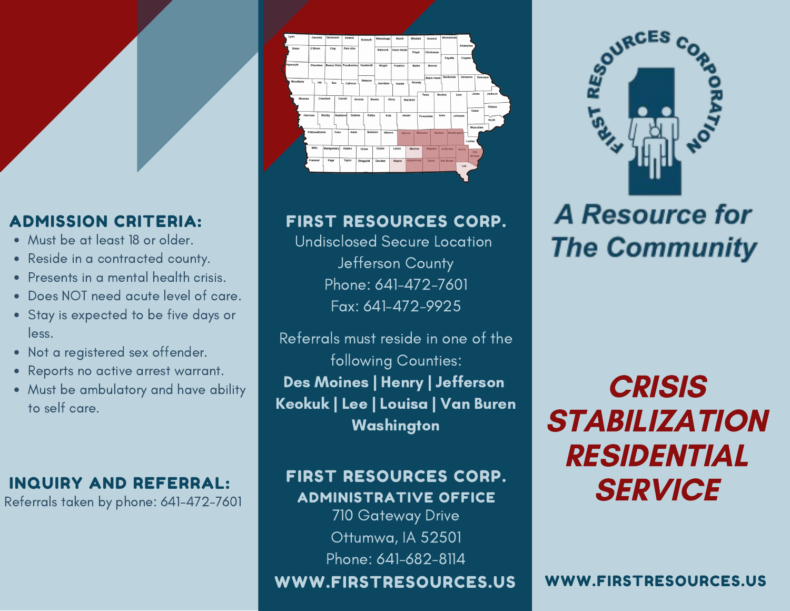# ADMISSION CRITERIA:

- Must be at least 18 or older.
- Reside in a contracted county.
- Presents in a mental health crisis.
- Does NOT need acute level of care.
- Stay is expected to be five days or less.
- Not a registered sex offender.
- Reports no active arrest warrant.
- Must be ambulatory and have ability to self care.

## INQUIRY AND REFERRAL:

Referrals taken by phone: 641-472-7601



# FIRST RESOURCES CORP.

Undisclosed Secure Location Jefferson County Phone: 641-472-7601 Fax: 641-472-9925

Referrals must reside in one of the following Counties: Des Moines | Henry | Jefferson Keokuk | Lee | Louisa | Van Buren **Washington** 

### FIRST RESOURCES CORP. ADMINISTRATIVE OFFICE

710 Gateway Drive Ottumwa, IA 52501 Phone: 641-682-8114

WWW.FIRSTRESOURCES.US



# **A Resource for The Community**

# **CRISIS STABILIZATION** RESIDENTIAL **SERVICE**

WWW.FIRSTRESOURCES.US